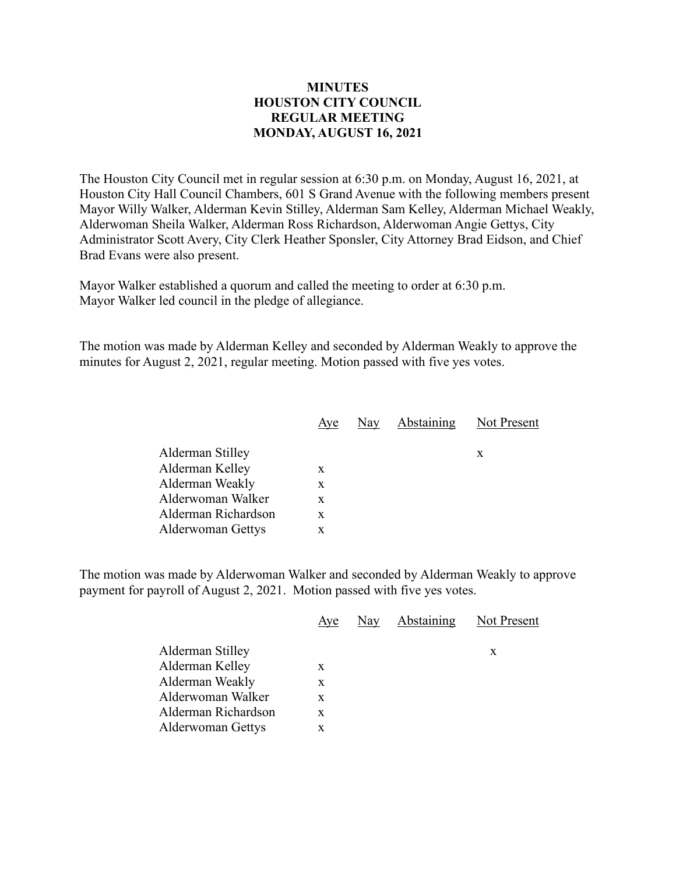## **MINUTES HOUSTON CITY COUNCIL REGULAR MEETING MONDAY, AUGUST 16, 2021**

The Houston City Council met in regular session at 6:30 p.m. on Monday, August 16, 2021, at Houston City Hall Council Chambers, 601 S Grand Avenue with the following members present Mayor Willy Walker, Alderman Kevin Stilley, Alderman Sam Kelley, Alderman Michael Weakly, Alderwoman Sheila Walker, Alderman Ross Richardson, Alderwoman Angie Gettys, City Administrator Scott Avery, City Clerk Heather Sponsler, City Attorney Brad Eidson, and Chief Brad Evans were also present.

Mayor Walker established a quorum and called the meeting to order at 6:30 p.m. Mayor Walker led council in the pledge of allegiance.

The motion was made by Alderman Kelley and seconded by Alderman Weakly to approve the minutes for August 2, 2021, regular meeting. Motion passed with five yes votes.

|                          | Aye | Nay Abstaining Not Present |   |
|--------------------------|-----|----------------------------|---|
| Alderman Stilley         |     |                            | X |
| Alderman Kelley          | X   |                            |   |
| Alderman Weakly          | X   |                            |   |
| Alderwoman Walker        | X   |                            |   |
| Alderman Richardson      | X   |                            |   |
| <b>Alderwoman Gettys</b> | x   |                            |   |
|                          |     |                            |   |

The motion was made by Alderwoman Walker and seconded by Alderman Weakly to approve payment for payroll of August 2, 2021. Motion passed with five yes votes.

|                     | Aye | Nay | <b>Abstaining</b> | Not Present |
|---------------------|-----|-----|-------------------|-------------|
| Alderman Stilley    |     |     |                   | X           |
| Alderman Kelley     | X   |     |                   |             |
| Alderman Weakly     | X   |     |                   |             |
| Alderwoman Walker   | X   |     |                   |             |
| Alderman Richardson | X   |     |                   |             |
| Alderwoman Gettys   | X   |     |                   |             |
|                     |     |     |                   |             |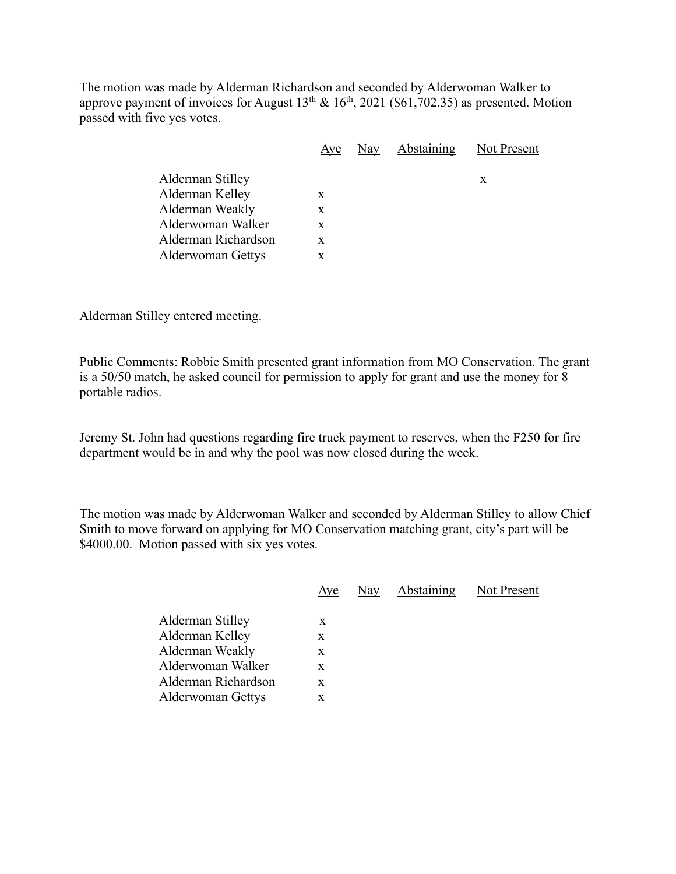The motion was made by Alderman Richardson and seconded by Alderwoman Walker to approve payment of invoices for August  $13^{th} \& 16^{th}$ , 2021 (\$61,702.35) as presented. Motion passed with five yes votes.

|                     | Aye | Nay Abstaining Not Present |   |
|---------------------|-----|----------------------------|---|
| Alderman Stilley    |     |                            | X |
| Alderman Kelley     | X   |                            |   |
| Alderman Weakly     | X   |                            |   |
| Alderwoman Walker   | X   |                            |   |
| Alderman Richardson | X   |                            |   |
| Alderwoman Gettys   | X   |                            |   |
|                     |     |                            |   |

Alderman Stilley entered meeting.

Public Comments: Robbie Smith presented grant information from MO Conservation. The grant is a 50/50 match, he asked council for permission to apply for grant and use the money for 8 portable radios.

Jeremy St. John had questions regarding fire truck payment to reserves, when the F250 for fire department would be in and why the pool was now closed during the week.

The motion was made by Alderwoman Walker and seconded by Alderman Stilley to allow Chief Smith to move forward on applying for MO Conservation matching grant, city's part will be \$4000.00. Motion passed with six yes votes.

|                     | Aye | Nay | Abstaining | Not Present |
|---------------------|-----|-----|------------|-------------|
| Alderman Stilley    | X   |     |            |             |
| Alderman Kelley     | X   |     |            |             |
| Alderman Weakly     | X   |     |            |             |
| Alderwoman Walker   | X   |     |            |             |
| Alderman Richardson | X   |     |            |             |
| Alderwoman Gettys   | X   |     |            |             |
|                     |     |     |            |             |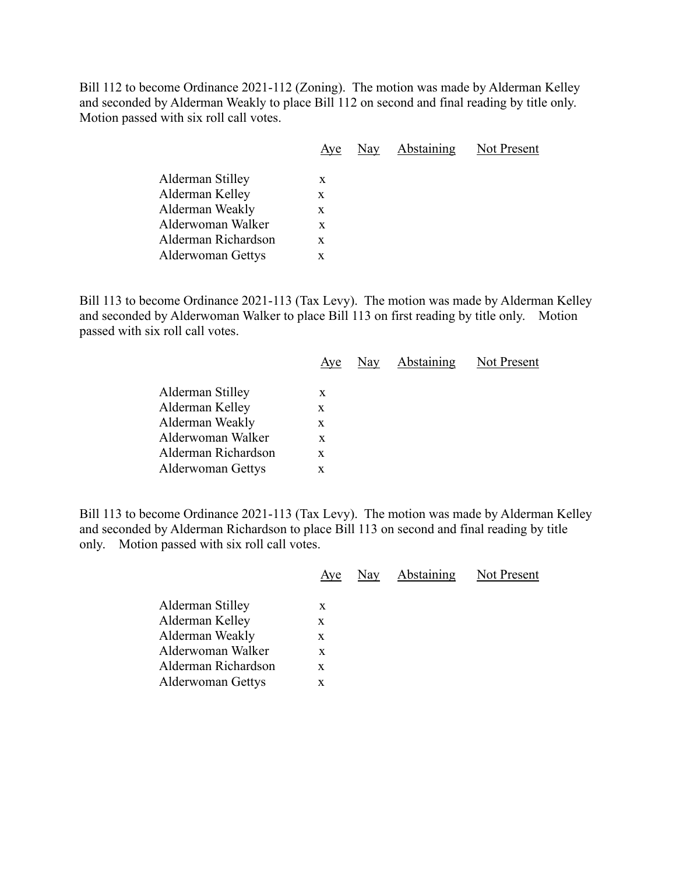Bill 112 to become Ordinance 2021-112 (Zoning). The motion was made by Alderman Kelley and seconded by Alderman Weakly to place Bill 112 on second and final reading by title only. Motion passed with six roll call votes.

|                                                                                                                         | Aye                        | Nay | Abstaining | Not Present |
|-------------------------------------------------------------------------------------------------------------------------|----------------------------|-----|------------|-------------|
| Alderman Stilley<br>Alderman Kelley<br>Alderman Weakly<br>Alderwoman Walker<br>Alderman Richardson<br>Alderwoman Gettys | X<br>X<br>X<br>X<br>X<br>X |     |            |             |
|                                                                                                                         |                            |     |            |             |

Bill 113 to become Ordinance 2021-113 (Tax Levy). The motion was made by Alderman Kelley and seconded by Alderwoman Walker to place Bill 113 on first reading by title only. Motion passed with six roll call votes.

|                          | Aye |  | Nay Abstaining Not Present |
|--------------------------|-----|--|----------------------------|
| Alderman Stilley         | X   |  |                            |
| Alderman Kelley          | X   |  |                            |
| Alderman Weakly          | X   |  |                            |
| Alderwoman Walker        | X   |  |                            |
| Alderman Richardson      | X   |  |                            |
| <b>Alderwoman Gettys</b> | X   |  |                            |
|                          |     |  |                            |

Bill 113 to become Ordinance 2021-113 (Tax Levy). The motion was made by Alderman Kelley and seconded by Alderman Richardson to place Bill 113 on second and final reading by title only. Motion passed with six roll call votes.

|                     |   | Aye Nay Abstaining | Not Present |
|---------------------|---|--------------------|-------------|
| Alderman Stilley    | X |                    |             |
| Alderman Kelley     | X |                    |             |
| Alderman Weakly     | X |                    |             |
| Alderwoman Walker   | X |                    |             |
| Alderman Richardson | X |                    |             |
| Alderwoman Gettys   | X |                    |             |
|                     |   |                    |             |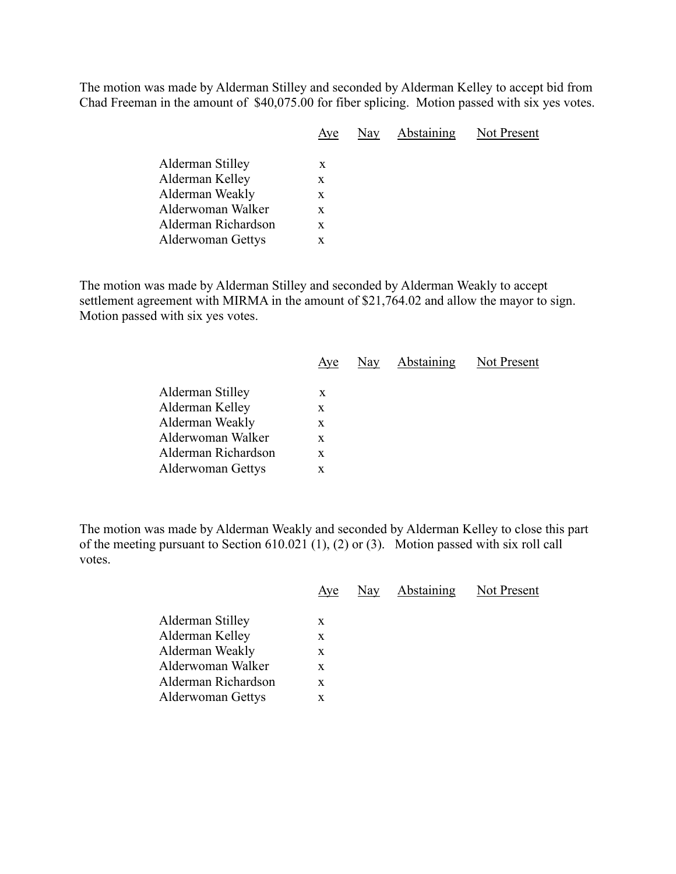The motion was made by Alderman Stilley and seconded by Alderman Kelley to accept bid from Chad Freeman in the amount of \$40,075.00 for fiber splicing. Motion passed with six yes votes.

|                          |   | Aye Nay Abstaining Not Present |  |
|--------------------------|---|--------------------------------|--|
| Alderman Stilley         | X |                                |  |
| Alderman Kelley          | X |                                |  |
| Alderman Weakly          | X |                                |  |
| Alderwoman Walker        | X |                                |  |
| Alderman Richardson      | X |                                |  |
| <b>Alderwoman Gettys</b> | X |                                |  |
|                          |   |                                |  |

The motion was made by Alderman Stilley and seconded by Alderman Weakly to accept settlement agreement with MIRMA in the amount of \$21,764.02 and allow the mayor to sign. Motion passed with six yes votes.

|                          | Aye | Nay Abstaining Not Present |  |
|--------------------------|-----|----------------------------|--|
| Alderman Stilley         | X   |                            |  |
|                          |     |                            |  |
| Alderman Kelley          | X   |                            |  |
| Alderman Weakly          | X   |                            |  |
| Alderwoman Walker        | X   |                            |  |
| Alderman Richardson      | X   |                            |  |
| <b>Alderwoman Gettys</b> | X   |                            |  |
|                          |     |                            |  |

The motion was made by Alderman Weakly and seconded by Alderman Kelley to close this part of the meeting pursuant to Section 610.021 (1), (2) or (3). Motion passed with six roll call votes.

| Aye | Nay | Abstaining | Not Present |
|-----|-----|------------|-------------|
| X   |     |            |             |
| X   |     |            |             |
| X   |     |            |             |
| X   |     |            |             |
| X   |     |            |             |
| X   |     |            |             |
|     |     |            |             |